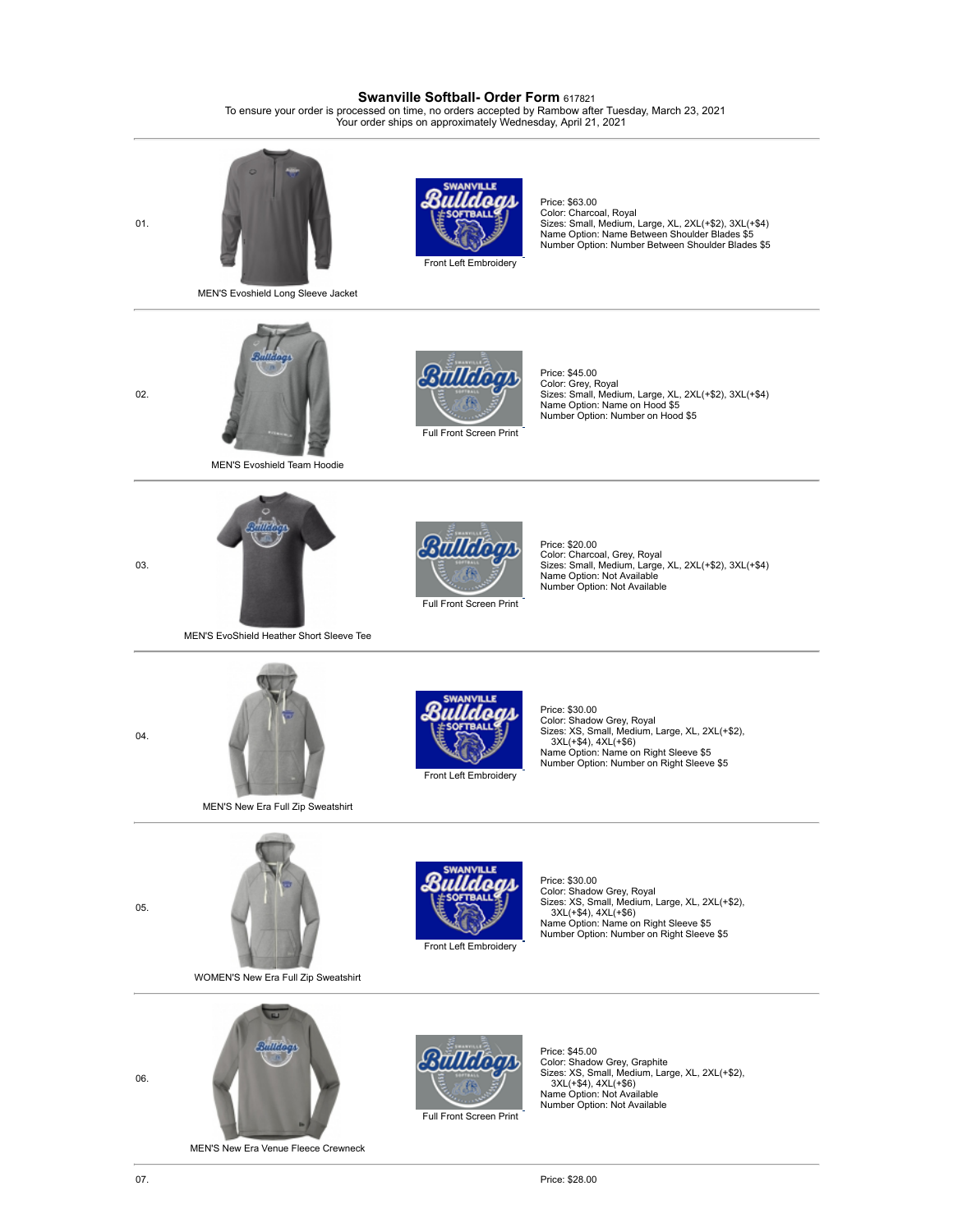## **Swanville Softball- Order Form** <sup>617821</sup>

To ensure your order is processed on time, no orders accepted by Rambow after Tuesday, March 23, 2021 Your order ships on approximately Wednesday, April 21, 2021

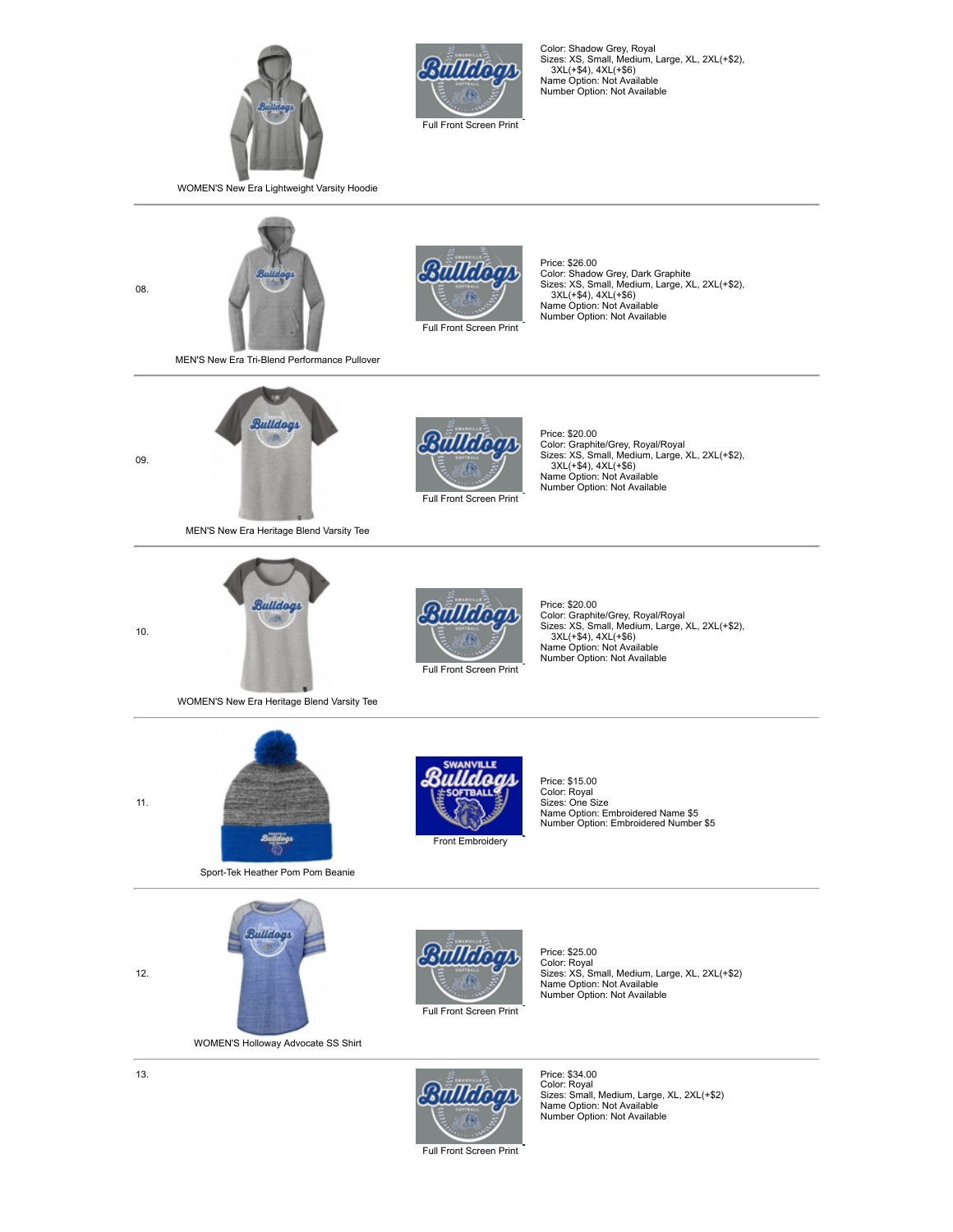



Color: Shadow Grey, Royal Sizes: XS, Small, Medium, Large, XL, 2XL(+\$2), 3XL(+\$4), 4XL(+\$6) Name Option: Not Available Number Option: Not Available

WOMEN'S New Era Lightweight Varsity Hoodie



Full Front Screen Print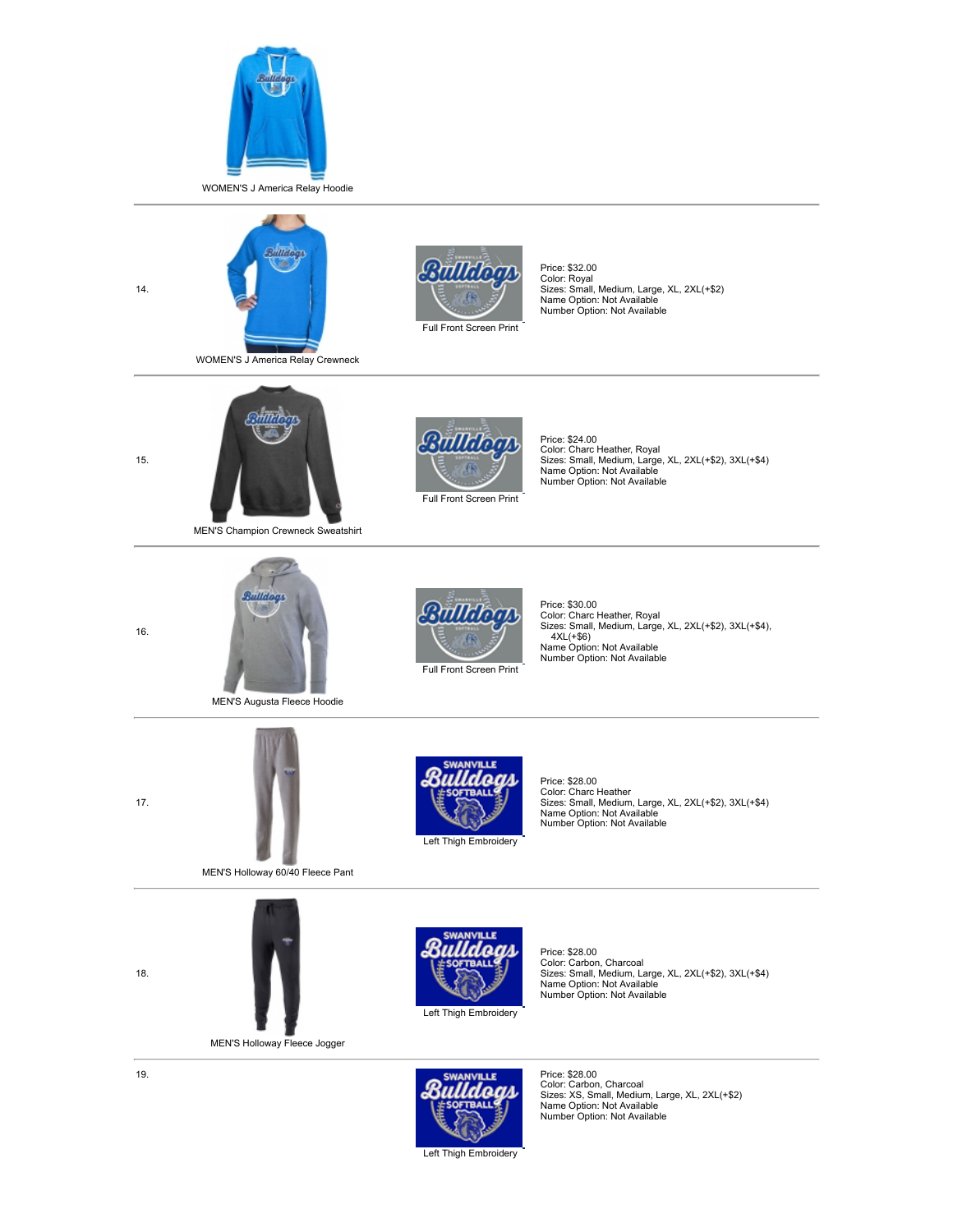





Price: \$32.00 Color: Royal Sizes: Small, Medium, Large, XL, 2XL(+\$2) Name Option: Not Available Number Option: Not Available



MEN'S Champion Crewneck Sweatshirt



MEN'S Augusta Fleece Hoodie



MEN'S Holloway 60/40 Fleece Pant



MEN'S H[olloway Flee](javascript:;)ce Jogger



*CHILLE* 

Price: \$24.00 Color: Charc Heather, Royal Sizes: Small, Medium, Large, XL, 2XL(+\$2), 3XL(+\$4) Name Option: Not Available Number Option: Not Available



Price: \$30.00 Color: Charc Heather, Royal Sizes: Small, Medium, Large, XL, 2XL(+\$2), 3XL(+\$4),  $4XL(+\$6)$ Name Option: Not Available Number Option: Not Available



Price: \$28.00 Color: Charc Heather Sizes: Small, Medium, Large, XL, 2XL(+\$2), 3XL(+\$4) Name Option: Not Available Number Option: Not Available



Price: \$28.00 Color: Carbon, Charcoal Sizes: Small, Medium, Large, XL, 2XL(+\$2), 3XL(+\$4) Name Option: Not Available Number Option: Not Available



Price: \$28.00 Color: Carbon, Charcoal Sizes: XS, Small, Medium, Large, XL, 2XL(+\$2) Name Option: Not Available Number Option: Not Available

Left Thigh Embroidery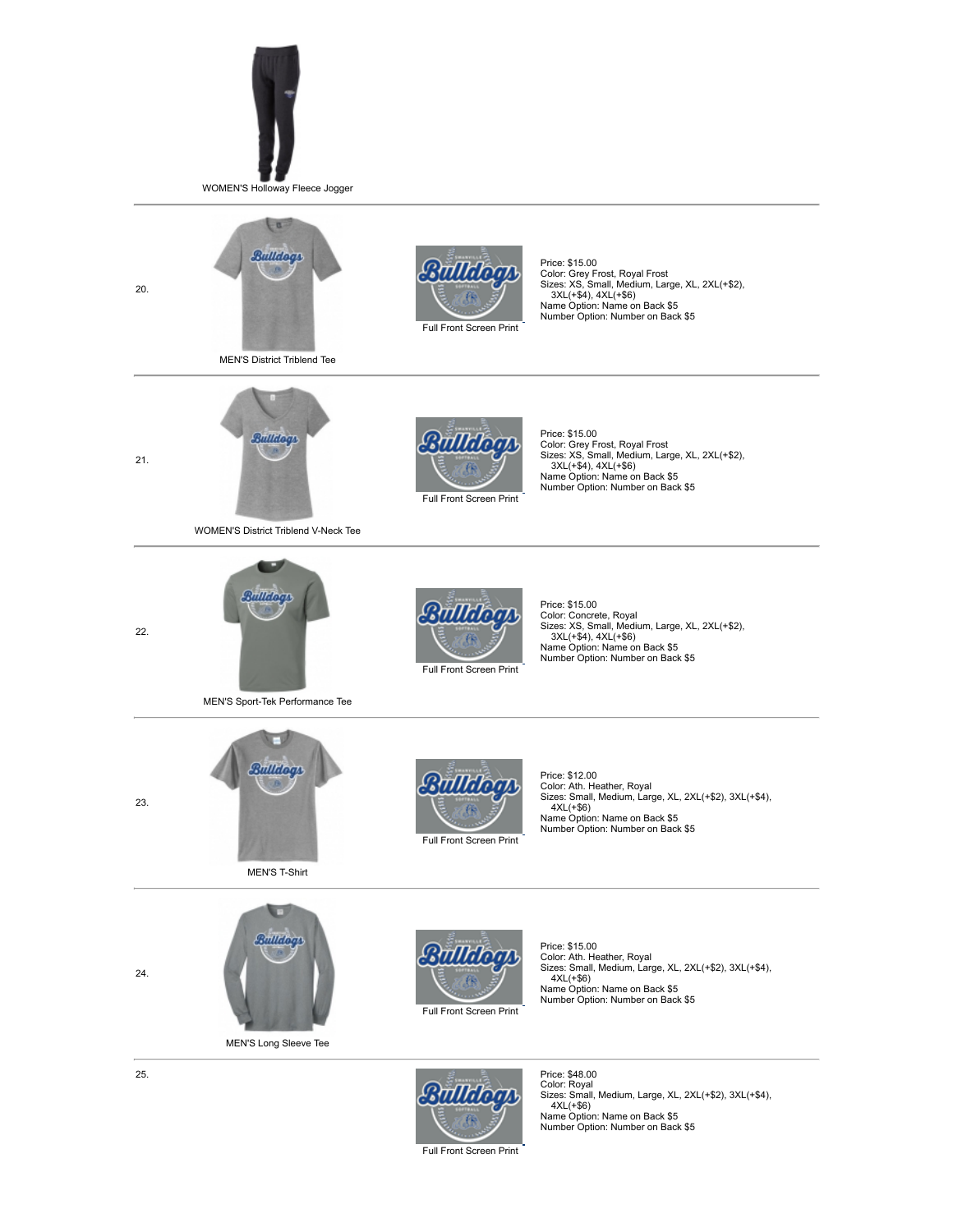